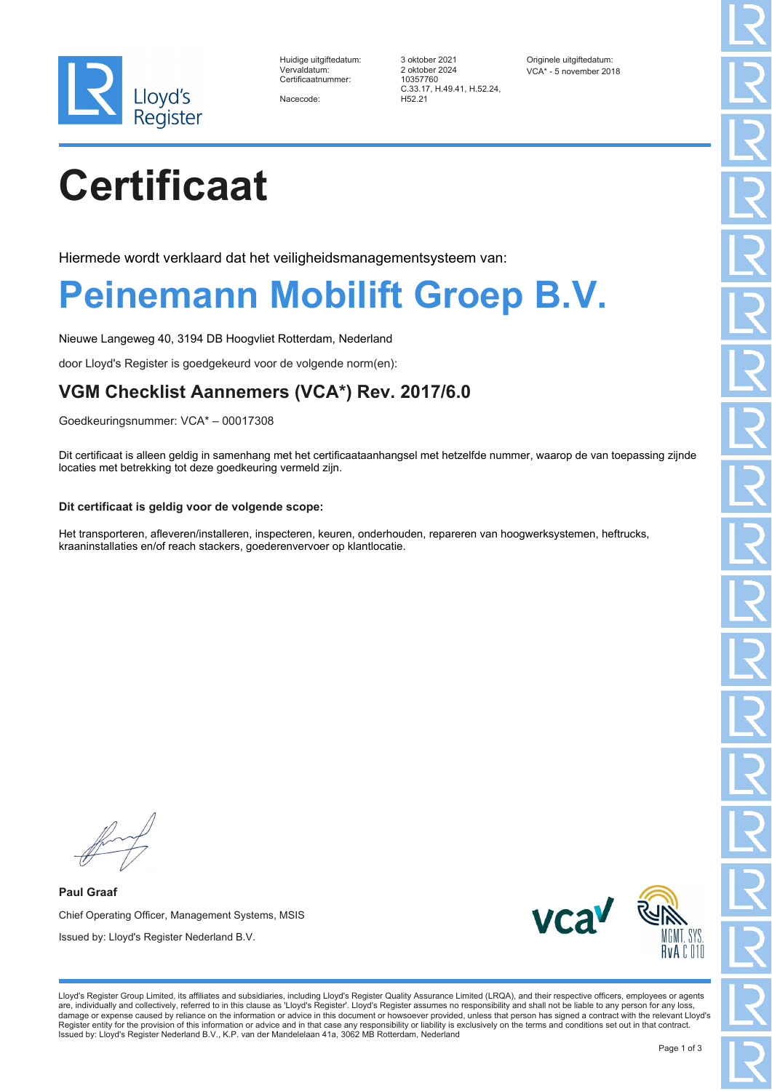

| Huidige uitgiftedatum: |
|------------------------|
| Vervaldatum:           |
| Certificaatnummer:     |

Nacecode:

3 oktober 2021 Originele uitgiftedatum:<br>2 oktober 2024 OCA\* - 5 november 201 Certificaatnummer: 10357760 C.33.17, H.49.41, H.52.24, H52.21

VCA\* - 5 november 2018

# **Certificaat**

Hiermede wordt verklaard dat het veiligheidsmanagementsysteem van:

### **Peinemann Mobilift Groep B.V.**

Nieuwe Langeweg 40, 3194 DB Hoogvliet Rotterdam, Nederland

door Lloyd's Register is goedgekeurd voor de volgende norm(en):

### **VGM Checklist Aannemers (VCA\*) Rev. 2017/6.0**

Goedkeuringsnummer: VCA\* – 00017308

Dit certificaat is alleen geldig in samenhang met het certificaataanhangsel met hetzelfde nummer, waarop de van toepassing zijnde locaties met betrekking tot deze goedkeuring vermeld zijn.

#### **Dit certificaat is geldig voor de volgende scope:**

Het transporteren, afleveren/installeren, inspecteren, keuren, onderhouden, repareren van hoogwerksystemen, heftrucks, kraaninstallaties en/of reach stackers, goederenvervoer op klantlocatie.

**Paul Graaf** Chief Operating Officer, Management Systems, MSIS Issued by: Lloyd's Register Nederland B.V.



Lloyd's Register Group Limited, its affiliates and subsidiaries, including Lloyd's Register Quality Assurance Limited (LRQA), and their respective officers, employees or agents are, individually and collectively, referred to in this clause as 'Lloyd's Register'. Lloyd's Register assumes no responsibility and shall not be liable to any person for any loss,<br>damage or expense caused by reliance on t Register entity for the provision of this information or advice and in that case any responsibility or liability is exclusively on the terms and conditions set out in that contract. Issued by: Lloyd's Register Nederland B.V., K.P. van der Mandelelaan 41a, 3062 MB Rotterdam, Nederland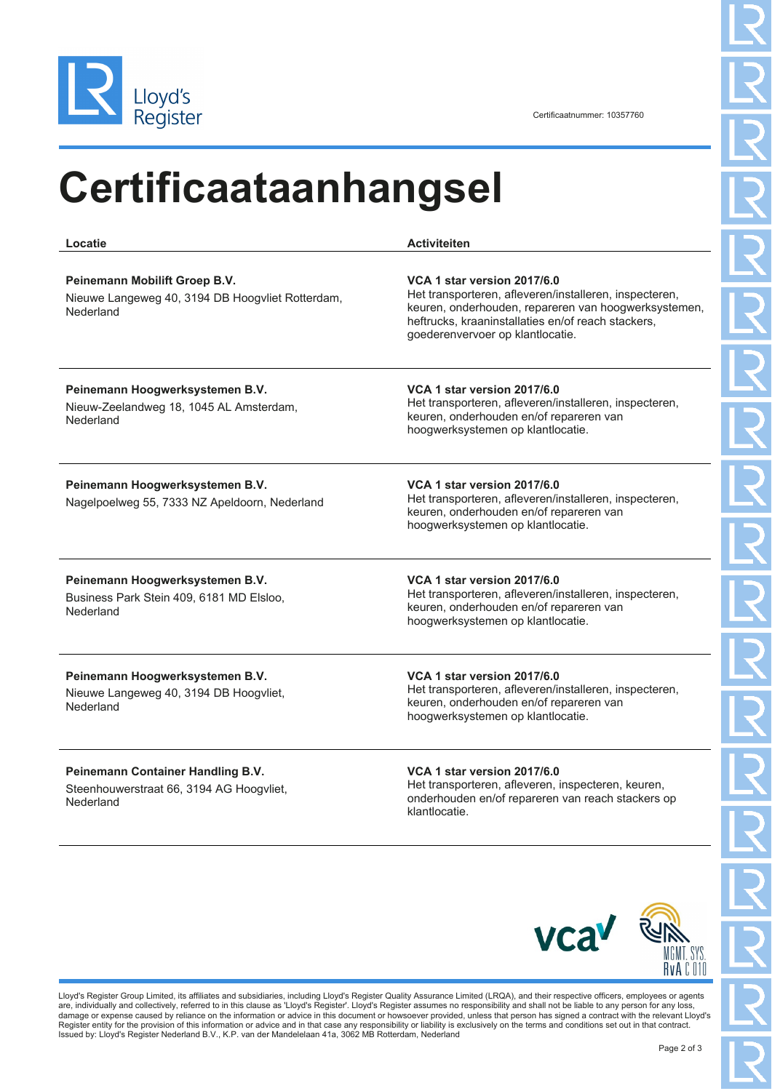

Certificaatnummer: 10357760

### **Certificaataanhangsel**

**Locatie Activiteiten Peinemann Mobilift Groep B.V.** Nieuwe Langeweg 40, 3194 DB Hoogvliet Rotterdam, Nederland **VCA 1 star version 2017/6.0** Het transporteren, afleveren/installeren, inspecteren, keuren, onderhouden, repareren van hoogwerksystemen, heftrucks, kraaninstallaties en/of reach stackers, goederenvervoer op klantlocatie. **Peinemann Hoogwerksystemen B.V.** Nieuw-Zeelandweg 18, 1045 AL Amsterdam, Nederland **VCA 1 star version 2017/6.0** Het transporteren, afleveren/installeren, inspecteren, keuren, onderhouden en/of repareren van hoogwerksystemen op klantlocatie. **Peinemann Hoogwerksystemen B.V.** Nagelpoelweg 55, 7333 NZ Apeldoorn, Nederland **VCA 1 star version 2017/6.0** Het transporteren, afleveren/installeren, inspecteren, keuren, onderhouden en/of repareren van hoogwerksystemen op klantlocatie. **Peinemann Hoogwerksystemen B.V.** Business Park Stein 409, 6181 MD Elsloo, Nederland **VCA 1 star version 2017/6.0** Het transporteren, afleveren/installeren, inspecteren, keuren, onderhouden en/of repareren van hoogwerksystemen op klantlocatie. **Peinemann Hoogwerksystemen B.V.** Nieuwe Langeweg 40, 3194 DB Hoogvliet, Nederland **VCA 1 star version 2017/6.0** Het transporteren, afleveren/installeren, inspecteren, keuren, onderhouden en/of repareren van hoogwerksystemen op klantlocatie. **Peinemann Container Handling B.V.** Steenhouwerstraat 66, 3194 AG Hoogvliet, Nederland **VCA 1 star version 2017/6.0** Het transporteren, afleveren, inspecteren, keuren, onderhouden en/of repareren van reach stackers op klantlocatie.



Lloyd's Register Group Limited, its affiliates and subsidiaries, including Lloyd's Register Quality Assurance Limited (LRQA), and their respective officers, employees or agents are, individually and collectively, referred to in this clause as 'Lloyd's Register'. Lloyd's Register assumes no responsibility and shall not be liable to any person for any loss,<br>damage or expense caused by reliance on t Register entity for the provision of this information or advice and in that case any responsibility or liability is exclusively on the terms and conditions set out in that contract. Issued by: Lloyd's Register Nederland B.V., K.P. van der Mandelelaan 41a, 3062 MB Rotterdam, Nederland